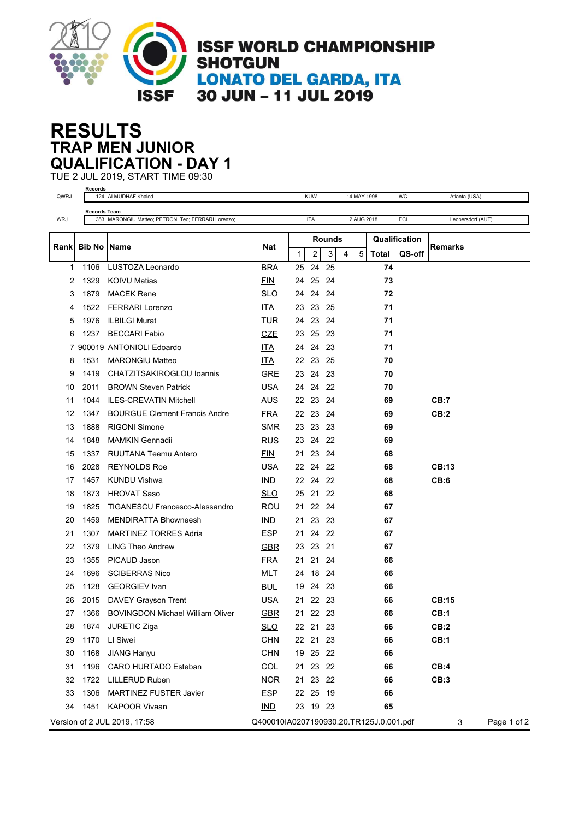

## **TRAP MEN JUNIOR RESULTS QUALIFICATION - DAY 1**

TUE 2 JUL 2019, START TIME 09:30 **Records**

| QWRJ                         | Records             | 124 ALMUDHAF Khaled                                                       |            |        | <b>KUW</b>     | 14 MAY 1998<br>WC |   |            | Atlanta (USA)    |               |                   |  |
|------------------------------|---------------------|---------------------------------------------------------------------------|------------|--------|----------------|-------------------|---|------------|------------------|---------------|-------------------|--|
|                              |                     | <b>Records Team</b><br>353 MARONGIU Matteo; PETRONI Teo; FERRARI Lorenzo; |            |        |                |                   |   |            |                  |               |                   |  |
| <b>WRJ</b>                   |                     |                                                                           |            |        | <b>ITA</b>     |                   |   | 2 AUG 2018 |                  | ECH           | Leobersdorf (AUT) |  |
| Rankl                        | <b>Bib No IName</b> |                                                                           |            | Rounds |                |                   |   |            |                  | Qualification |                   |  |
|                              |                     |                                                                           | <b>Nat</b> | 1      | $\overline{2}$ | 3                 | 4 | 5          | Total            | QS-off        | Remarks           |  |
| $\mathbf{1}$                 | 1106                | LUSTOZA Leonardo                                                          | <b>BRA</b> | 25     | 24 25          |                   |   |            | 74               |               |                   |  |
| 2                            | 1329                | <b>KOIVU Matias</b>                                                       | <b>FIN</b> | 24     | 25             | 24                |   |            | 73               |               |                   |  |
| 3                            | 1879                | <b>MACEK Rene</b>                                                         | <b>SLO</b> | 24     | 24             | 24                |   |            | 72               |               |                   |  |
| 4                            | 1522                | <b>FERRARI Lorenzo</b>                                                    | <b>ITA</b> | 23     | 23 25          |                   |   |            | 71               |               |                   |  |
| 5                            | 1976                | <b>ILBILGI Murat</b>                                                      | <b>TUR</b> | 24     | 23             | 24                |   |            | 71               |               |                   |  |
| 6                            | 1237                | <b>BECCARI Fabio</b>                                                      | <b>CZE</b> | 23     | 25             | - 23              |   |            | 71               |               |                   |  |
| 7                            |                     | 900019 ANTONIOLI Edoardo                                                  | ITA        | 24     | 24 23          |                   |   |            | 71               |               |                   |  |
| 8                            | 1531                | <b>MARONGIU Matteo</b>                                                    | <b>ITA</b> |        | 22 23 25       |                   |   |            | 70               |               |                   |  |
| 9                            | 1419                | CHATZITSAKIROGLOU Ioannis                                                 | <b>GRE</b> | 23     | 24             | -23               |   |            | 70               |               |                   |  |
| 10                           | 2011                | <b>BROWN Steven Patrick</b>                                               | <b>USA</b> | 24     | 24             | -22               |   |            | 70               |               |                   |  |
| 11                           | 1044                | <b>ILES-CREVATIN Mitchell</b>                                             | <b>AUS</b> | 22     | 23 24          |                   |   |            | 69               |               | CB:7              |  |
| 12                           | 1347                | <b>BOURGUE Clement Francis Andre</b>                                      | <b>FRA</b> | 22     | 23             | 24                |   |            | 69               |               | CB:2              |  |
| 13                           | 1888                | <b>RIGONI Simone</b>                                                      | SMR        |        | 23 23 23       |                   |   |            | 69               |               |                   |  |
| 14                           | 1848                | <b>MAMKIN Gennadii</b>                                                    | <b>RUS</b> |        | 23 24 22       |                   |   |            | 69               |               |                   |  |
| 15                           | 1337                | <b>RUUTANA Teemu Antero</b>                                               | <b>FIN</b> | 21     | 23 24          |                   |   |            | 68               |               |                   |  |
| 16                           | 2028                | <b>REYNOLDS Roe</b>                                                       | <b>USA</b> | 22     | 24             | 22                |   |            | 68               |               | CB:13             |  |
| 17                           | 1457                | <b>KUNDU Vishwa</b>                                                       | <b>IND</b> |        | 22 24 22       |                   |   |            | 68               |               | CB:6              |  |
| 18                           | 1873                | <b>HROVAT Saso</b>                                                        | <b>SLO</b> | 25     | 21 22          |                   |   |            | 68               |               |                   |  |
| 19                           | 1825                | <b>TIGANESCU Francesco-Alessandro</b>                                     | <b>ROU</b> | 21     | 22 24          |                   |   |            | 67               |               |                   |  |
| 20                           | 1459                | <b>MENDIRATTA Bhowneesh</b>                                               | IND        | 21     | 23 23          |                   |   |            | 67               |               |                   |  |
| 21                           | 1307                | <b>MARTINEZ TORRES Adria</b>                                              | <b>ESP</b> | 21     | 24             | 22                |   |            | 67               |               |                   |  |
| 22                           | 1379                | <b>LING Theo Andrew</b>                                                   | <b>GBR</b> |        | 23 23 21       |                   |   |            | 67               |               |                   |  |
| 23                           | 1355                | PICAUD Jason                                                              | <b>FRA</b> | 21     | 21             | 24                |   |            | 66               |               |                   |  |
| 24                           | 1696                | <b>SCIBERRAS Nico</b>                                                     | <b>MLT</b> | 24     | 18 24          |                   |   |            | 66               |               |                   |  |
| 25                           | 1128                | <b>GEORGIEV</b> Ivan                                                      | <b>BUL</b> | 19     | 24 23          |                   |   |            | 66               |               |                   |  |
| 26                           | 2015                | DAVEY Grayson Trent                                                       | <b>USA</b> | 21     | 22 23          |                   |   |            | 66               |               | CB:15             |  |
| 27                           | 1366                | <b>BOVINGDON Michael William Oliver</b>                                   | <b>GBR</b> |        | 21 22 23       |                   |   |            | 66               |               | CB:1              |  |
| 28                           | 1874                | JURETIC Ziga                                                              | <b>SLO</b> |        | 22 21 23       |                   |   |            | 66               |               | CB:2              |  |
| 29                           | 1170                | LI Siwei                                                                  | <b>CHN</b> |        | 22 21 23       |                   |   |            | 66               |               | <b>CB:1</b>       |  |
| 30                           | 1168                | <b>JIANG Hanyu</b>                                                        | <b>CHN</b> |        | 19 25 22       |                   |   |            | 66               |               |                   |  |
| 31                           | 1196                | CARO HURTADO Esteban                                                      | COL        |        | 21 23 22       |                   |   |            | 66               |               | CB:4              |  |
| 32                           | 1722                | LILLERUD Ruben                                                            | <b>NOR</b> |        | 21 23 22       |                   |   |            | 66               |               | CB:3              |  |
| 33                           | 1306                | <b>MARTINEZ FUSTER Javier</b>                                             | <b>ESP</b> |        | 22 25 19       |                   |   |            | 66               |               |                   |  |
| 34                           |                     | 1451 KAPOOR Vivaan                                                        | $IND$      |        | 23 19 23       |                   |   |            | 65               |               |                   |  |
| Version of 2 JUL 2019, 17:58 |                     | Q400010IA0207190930.20.TR125J.0.001.pdf                                   |            |        |                |                   |   |            | Page 1 of 2<br>3 |               |                   |  |